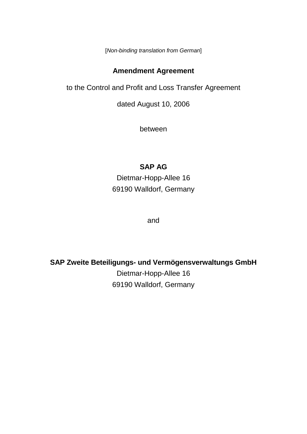[*Non-binding translation from German*]

## **Amendment Agreement**

to the Control and Profit and Loss Transfer Agreement

dated August 10, 2006

between

# **SAP AG**

Dietmar-Hopp-Allee 16 69190 Walldorf, Germany

and

**SAP Zweite Beteiligungs- und Vermögensverwaltungs GmbH**

Dietmar-Hopp-Allee 16 69190 Walldorf, Germany